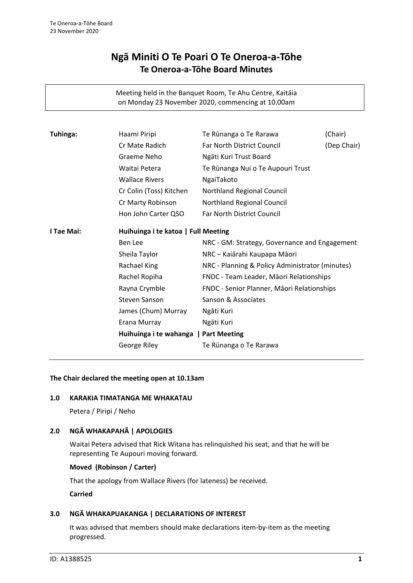# **Ngā Miniti O Te Poari O Te Oneroa-a-Tōhe Te Oneroa-a-Tōhe Board Minutes**

Meeting held in the Banquet Room, Te Ahu Centre, Kaitāia on Monday 23 November 2020, commencing at 10.00am

| Cr Mate Radich<br>Far North District Council<br>Ngāti Kuri Trust Board<br>Graeme Neho<br>Waitai Petera<br>Te Rūnanga Nui o Te Aupouri Trust<br><b>Wallace Rivers</b><br>NgaiTakoto<br>Cr Colin (Toss) Kitchen<br>Northland Regional Council<br>Cr Marty Robinson<br>Northland Regional Council<br>Hon John Carter QSO<br>Far North District Council<br>I Tae Mai:<br>Huihuinga i te katoa   Full Meeting<br>Ben Lee<br>NRC - GM: Strategy, Governance and Engagement<br>Sheila Taylor<br>NRC - Kaiārahi Kaupapa Māori<br>Rachael King<br>NRC - Planning & Policy Administrator (minutes)<br>Rachel Ropiha<br>FNDC - Team Leader, Māori Relationships<br>Rayna Crymble<br>FNDC - Senior Planner, Māori Relationships<br>Sanson & Associates<br><b>Steven Sanson</b><br>James (Chum) Murray<br>Ngāti Kuri<br>Erana Murray<br>Ngāti Kuri<br>Huihuinga i te wahanga   Part Meeting | Tuhinga: | Haami Piripi | Te Rūnanga o Te Rarawa | (Chair)     |
|--------------------------------------------------------------------------------------------------------------------------------------------------------------------------------------------------------------------------------------------------------------------------------------------------------------------------------------------------------------------------------------------------------------------------------------------------------------------------------------------------------------------------------------------------------------------------------------------------------------------------------------------------------------------------------------------------------------------------------------------------------------------------------------------------------------------------------------------------------------------------------|----------|--------------|------------------------|-------------|
|                                                                                                                                                                                                                                                                                                                                                                                                                                                                                                                                                                                                                                                                                                                                                                                                                                                                                |          |              |                        | (Dep Chair) |
|                                                                                                                                                                                                                                                                                                                                                                                                                                                                                                                                                                                                                                                                                                                                                                                                                                                                                |          |              |                        |             |
|                                                                                                                                                                                                                                                                                                                                                                                                                                                                                                                                                                                                                                                                                                                                                                                                                                                                                |          |              |                        |             |
|                                                                                                                                                                                                                                                                                                                                                                                                                                                                                                                                                                                                                                                                                                                                                                                                                                                                                |          |              |                        |             |
|                                                                                                                                                                                                                                                                                                                                                                                                                                                                                                                                                                                                                                                                                                                                                                                                                                                                                |          |              |                        |             |
|                                                                                                                                                                                                                                                                                                                                                                                                                                                                                                                                                                                                                                                                                                                                                                                                                                                                                |          |              |                        |             |
|                                                                                                                                                                                                                                                                                                                                                                                                                                                                                                                                                                                                                                                                                                                                                                                                                                                                                |          |              |                        |             |
|                                                                                                                                                                                                                                                                                                                                                                                                                                                                                                                                                                                                                                                                                                                                                                                                                                                                                |          |              |                        |             |
|                                                                                                                                                                                                                                                                                                                                                                                                                                                                                                                                                                                                                                                                                                                                                                                                                                                                                |          |              |                        |             |
|                                                                                                                                                                                                                                                                                                                                                                                                                                                                                                                                                                                                                                                                                                                                                                                                                                                                                |          |              |                        |             |
|                                                                                                                                                                                                                                                                                                                                                                                                                                                                                                                                                                                                                                                                                                                                                                                                                                                                                |          |              |                        |             |
|                                                                                                                                                                                                                                                                                                                                                                                                                                                                                                                                                                                                                                                                                                                                                                                                                                                                                |          |              |                        |             |
|                                                                                                                                                                                                                                                                                                                                                                                                                                                                                                                                                                                                                                                                                                                                                                                                                                                                                |          |              |                        |             |
|                                                                                                                                                                                                                                                                                                                                                                                                                                                                                                                                                                                                                                                                                                                                                                                                                                                                                |          |              |                        |             |
|                                                                                                                                                                                                                                                                                                                                                                                                                                                                                                                                                                                                                                                                                                                                                                                                                                                                                |          |              |                        |             |
|                                                                                                                                                                                                                                                                                                                                                                                                                                                                                                                                                                                                                                                                                                                                                                                                                                                                                |          |              |                        |             |
|                                                                                                                                                                                                                                                                                                                                                                                                                                                                                                                                                                                                                                                                                                                                                                                                                                                                                |          |              |                        |             |
|                                                                                                                                                                                                                                                                                                                                                                                                                                                                                                                                                                                                                                                                                                                                                                                                                                                                                |          | George Riley | Te Rūnanga o Te Rarawa |             |

#### **The Chair declared the meeting open at 10.13am**

#### **1.0 KARAKIA TIMATANGA ME WHAKATAU**

Petera / Piripi / Neho

## **2.0 NGĀ WHAKAPAHĀ | APOLOGIES**

Waitai Petera advised that Rick Witana has relinquished his seat, and that he will be representing Te Aupouri moving forward.

#### **Moved (Robinson / Carter)**

That the apology from Wallace Rivers (for lateness) be received.

## **Carried**

#### **3.0 NGĀ WHAKAPUAKANGA | DECLARATIONS OF INTEREST**

It was advised that members should make declarations item-by-item as the meeting progressed.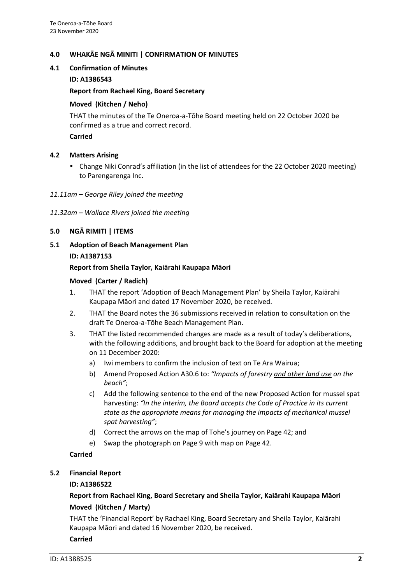## **4.0 WHAKĀE NGĀ MINITI | CONFIRMATION OF MINUTES**

## **4.1 Confirmation of Minutes**

## **ID: A1386543**

#### **Report from Rachael King, Board Secretary**

#### **Moved (Kitchen / Neho)**

THAT the minutes of the Te Oneroa-a-Tōhe Board meeting held on 22 October 2020 be confirmed as a true and correct record.

## **Carried**

## **4.2 Matters Arising**

 Change Niki Conrad's affiliation (in the list of attendees for the 22 October 2020 meeting) to Parengarenga Inc.

#### *11.11am – George Riley joined the meeting*

## *11.32am – Wallace Rivers joined the meeting*

## **5.0 NGĀ RIMITI | ITEMS**

**5.1 Adoption of Beach Management Plan ID: A1387153**

## **Report from Sheila Taylor, Kaiārahi Kaupapa Māori**

## **Moved (Carter / Radich)**

- 1. THAT the report 'Adoption of Beach Management Plan' by Sheila Taylor, Kaiārahi Kaupapa Māori and dated 17 November 2020, be received.
- 2. THAT the Board notes the 36 submissions received in relation to consultation on the draft Te Oneroa-a-Tōhe Beach Management Plan.
- 3. THAT the listed recommended changes are made as a result of today's deliberations, with the following additions, and brought back to the Board for adoption at the meeting on 11 December 2020:
	- a) Iwi members to confirm the inclusion of text on Te Ara Wairua;
	- b) Amend Proposed Action A30.6 to: *"Impacts of forestry and other land use on the beach"*;
	- c) Add the following sentence to the end of the new Proposed Action for mussel spat harvesting: *"In the interim, the Board accepts the Code of Practice in its current state as the appropriate means for managing the impacts of mechanical mussel spat harvesting"*;
	- d) Correct the arrows on the map of Tohe's journey on Page 42; and
	- e) Swap the photograph on Page 9 with map on Page 42.

## **Carried**

## **5.2 Financial Report**

## **ID: A1386522**

## **Report from Rachael King, Board Secretary and Sheila Taylor, Kaiārahi Kaupapa Māori Moved (Kitchen / Marty)**

THAT the 'Financial Report' by Rachael King, Board Secretary and Sheila Taylor, Kaiārahi Kaupapa Māori and dated 16 November 2020, be received.

#### **Carried**